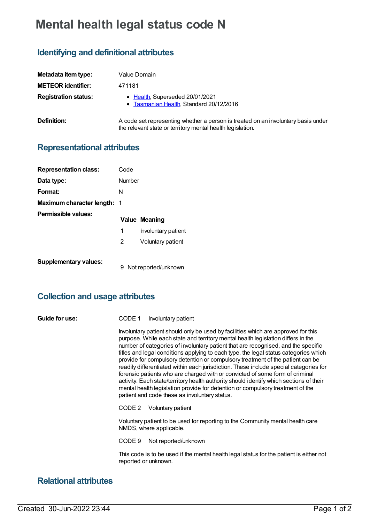# **Mental health legal status code N**

# **Identifying and definitional attributes**

| Metadata item type:         | Value Domain                                                                                                                                    |
|-----------------------------|-------------------------------------------------------------------------------------------------------------------------------------------------|
| <b>METEOR identifier:</b>   | 471181                                                                                                                                          |
| <b>Registration status:</b> | • Health, Superseded 20/01/2021<br>• Tasmanian Health, Standard 20/12/2016                                                                      |
| Definition:                 | A code set representing whether a person is treated on an involuntary basis under<br>the relevant state or territory mental health legislation. |

### **Representational attributes**

| <b>Representation class:</b> | Code                      |  |
|------------------------------|---------------------------|--|
| Data type:                   | Number                    |  |
| Format:                      | N                         |  |
| Maximum character length: 1  |                           |  |
| Permissible values:          | Value Meaning             |  |
|                              | 1<br>Involuntary patient  |  |
|                              | 2<br>Voluntary patient    |  |
| <b>Supplementary values:</b> | Not reported/unknown<br>9 |  |

## **Collection and usage attributes**

| Guide for use: | CODE 1 | Involuntary patient |
|----------------|--------|---------------------|
|----------------|--------|---------------------|

Involuntary patient should only be used by facilities which are approved for this purpose. While each state and territory mental health legislation differs in the number of categories of involuntary patient that are recognised, and the specific titles and legal conditions applying to each type, the legal status categories which provide for compulsory detention or compulsory treatment of the patient can be readily differentiated within each jurisdiction. These include special categories for forensic patients who are charged with or convicted of some form of criminal activity. Each state/territory health authority should identify which sections of their mental health legislation provide for detention or compulsory treatment of the patient and code these as involuntary status.

CODE 2 Voluntary patient

Voluntary patient to be used for reporting to the Community mental health care NMDS, where applicable.

CODE 9 Not reported/unknown

This code is to be used if the mental health legal status for the patient is either not reported or unknown.

### **Relational attributes**